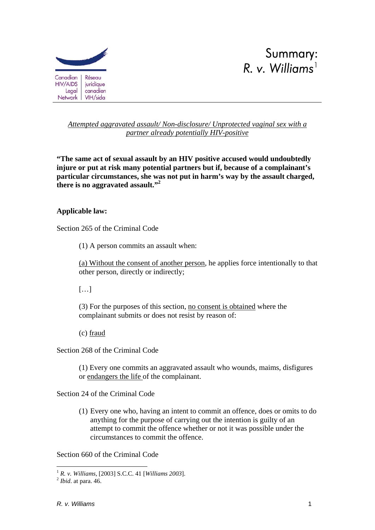



# *Attempted aggravated assault/ Non-disclosure/ Unprotected vaginal sex with a partner already potentially HIV-positive*

**"The same act of sexual assault by an HIV positive accused would undoubtedly injure or put at risk many potential partners but if, because of a complainant's particular circumstances, she was not put in harm's way by the assault charged, there is no aggravated assault."2**

# **Applicable law:**

Section 265 of the Criminal Code

(1) A person commits an assault when:

(a) Without the consent of another person, he applies force intentionally to that other person, directly or indirectly;

 $[...]$ 

(3) For the purposes of this section, no consent is obtained where the complainant submits or does not resist by reason of:

(c) fraud

Section 268 of the Criminal Code

(1) Every one commits an aggravated assault who wounds, maims, disfigures or endangers the life of the complainant.

Section 24 of the Criminal Code

(1) Every one who, having an intent to commit an offence, does or omits to do anything for the purpose of carrying out the intention is guilty of an attempt to commit the offence whether or not it was possible under the circumstances to commit the offence.

Section 660 of the Criminal Code

<sup>&</sup>lt;u>.</u> <sup>1</sup> *R. v. Williams,* [2003] S.C.C. 41 [*Williams 2003*]. 2 *Ibid*. at para. 46.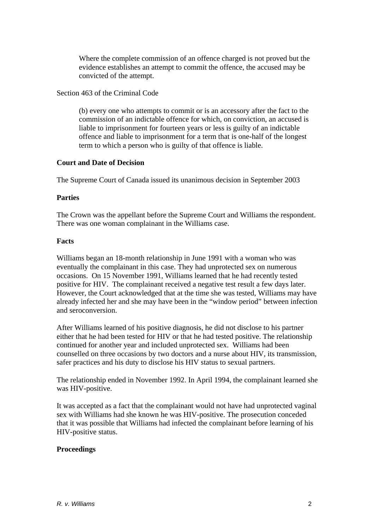Where the complete commission of an offence charged is not proved but the evidence establishes an attempt to commit the offence, the accused may be convicted of the attempt.

## Section 463 of the Criminal Code

(b) every one who attempts to commit or is an accessory after the fact to the commission of an indictable offence for which, on conviction, an accused is liable to imprisonment for fourteen years or less is guilty of an indictable offence and liable to imprisonment for a term that is one-half of the longest term to which a person who is guilty of that offence is liable.

### **Court and Date of Decision**

The Supreme Court of Canada issued its unanimous decision in September 2003

## **Parties**

The Crown was the appellant before the Supreme Court and Williams the respondent. There was one woman complainant in the Williams case.

## **Facts**

Williams began an 18-month relationship in June 1991 with a woman who was eventually the complainant in this case. They had unprotected sex on numerous occasions. On 15 November 1991, Williams learned that he had recently tested positive for HIV. The complainant received a negative test result a few days later. However, the Court acknowledged that at the time she was tested, Williams may have already infected her and she may have been in the "window period" between infection and seroconversion.

After Williams learned of his positive diagnosis, he did not disclose to his partner either that he had been tested for HIV or that he had tested positive. The relationship continued for another year and included unprotected sex. Williams had been counselled on three occasions by two doctors and a nurse about HIV, its transmission, safer practices and his duty to disclose his HIV status to sexual partners.

The relationship ended in November 1992. In April 1994, the complainant learned she was HIV-positive.

It was accepted as a fact that the complainant would not have had unprotected vaginal sex with Williams had she known he was HIV-positive. The prosecution conceded that it was possible that Williams had infected the complainant before learning of his HIV-positive status.

# **Proceedings**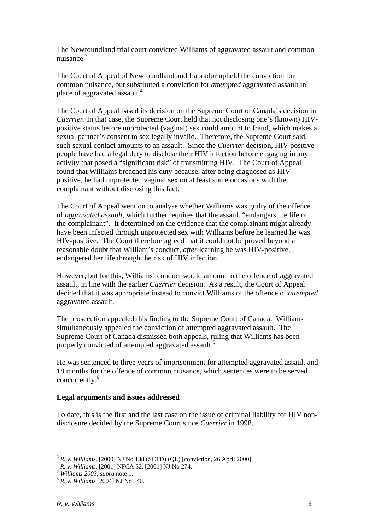The Newfoundland trial court convicted Williams of aggravated assault and common nuisance.3

The Court of Appeal of Newfoundland and Labrador upheld the conviction for common nuisance, but substituted a conviction for *attempted* aggravated assault in place of aggravated assault.<sup>4</sup>

The Court of Appeal based its decision on the Supreme Court of Canada's decision in *Cuerrier.* In that case, the Supreme Court held that not disclosing one's (known) HIVpositive status before unprotected (vaginal) sex could amount to fraud, which makes a sexual partner's consent to sex legally invalid. Therefore, the Supreme Court said, such sexual contact amounts to an assault. Since the *Cuerrier* decision, HIV positive people have had a legal duty to disclose their HIV infection before engaging in any activity that posed a "significant risk" of transmitting HIV. The Court of Appeal found that Williams breached his duty because, after being diagnosed as HIVpositive, he had unprotected vaginal sex on at least some occasions with the complainant without disclosing this fact.

The Court of Appeal went on to analyse whether Williams was guilty of the offence of *aggravated assault*, which further requires that the assault "endangers the life of the complainant". It determined on the evidence that the complainant might already have been infected through unprotected sex with Williams before he learned he was HIV-positive. The Court therefore agreed that it could not be proved beyond a reasonable doubt that William's conduct, *after* learning he was HIV-positive, endangered her life through the risk of HIV infection.

However, but for this, Williams' conduct would amount to the offence of aggravated assault, in line with the earlier *Cuerrier* decision. As a result, the Court of Appeal decided that it was appropriate instead to convict Williams of the offence of *attempted* aggravated assault.

The prosecution appealed this finding to the Supreme Court of Canada. Williams simultaneously appealed the conviction of attempted aggravated assault. The Supreme Court of Canada dismissed both appeals, ruling that Williams has been properly convicted of attempted aggravated assault.<sup>5</sup>

He was sentenced to three years of imprisonment for attempted aggravated assault and 18 months for the offence of common nuisance, which sentences were to be served concurrently.<sup>6</sup>

### **Legal arguments and issues addressed**

To date, this is the first and the last case on the issue of criminal liability for HIV nondisclosure decided by the Supreme Court since *Cuerrier* in 1998.

1

<sup>&</sup>lt;sup>3</sup> R. *v. Williams*, [2000] NJ No 138 (SCTD) (QL) [conviction, 26 April 2000].<br>
<sup>4</sup> R. *v. Williams*, [2001] NFCA 52, [2001] NJ No 274.<br>
<sup>5</sup> Williams 2003, *supra* note 1.<br>
<sup>6</sup> R. *v. Williams* [2004] NJ No 140.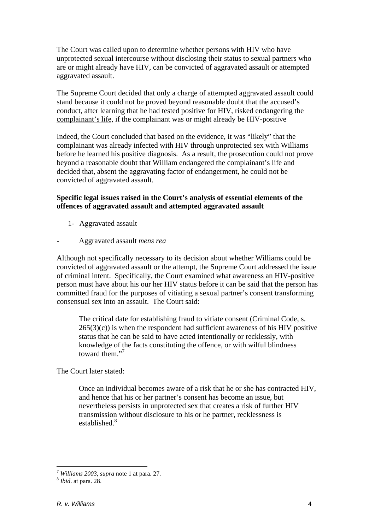The Court was called upon to determine whether persons with HIV who have unprotected sexual intercourse without disclosing their status to sexual partners who are or might already have HIV, can be convicted of aggravated assault or attempted aggravated assault.

The Supreme Court decided that only a charge of attempted aggravated assault could stand because it could not be proved beyond reasonable doubt that the accused's conduct, after learning that he had tested positive for HIV, risked endangering the complainant's life, if the complainant was or might already be HIV-positive

Indeed, the Court concluded that based on the evidence, it was "likely" that the complainant was already infected with HIV through unprotected sex with Williams before he learned his positive diagnosis. As a result, the prosecution could not prove beyond a reasonable doubt that William endangered the complainant's life and decided that, absent the aggravating factor of endangerment, he could not be convicted of aggravated assault.

# **Specific legal issues raised in the Court's analysis of essential elements of the offences of aggravated assault and attempted aggravated assault**

- 1- Aggravated assault
- Aggravated assault *mens rea*

Although not specifically necessary to its decision about whether Williams could be convicted of aggravated assault or the attempt, the Supreme Court addressed the issue of criminal intent. Specifically, the Court examined what awareness an HIV-positive person must have about his our her HIV status before it can be said that the person has committed fraud for the purposes of vitiating a sexual partner's consent transforming consensual sex into an assault. The Court said:

The critical date for establishing fraud to vitiate consent (Criminal Code, s.  $265(3)(c)$ ) is when the respondent had sufficient awareness of his HIV positive status that he can be said to have acted intentionally or recklessly, with knowledge of the facts constituting the offence, or with wilful blindness toward them."<sup>7</sup>

The Court later stated:

Once an individual becomes aware of a risk that he or she has contracted HIV, and hence that his or her partner's consent has become an issue, but nevertheless persists in unprotected sex that creates a risk of further HIV transmission without disclosure to his or he partner, recklessness is established.<sup>8</sup>

<u>.</u>

<sup>7</sup> *Williams <sup>2003</sup>*, *supra* note 1 at para. 27. 8 *Ibid*. at para. 28.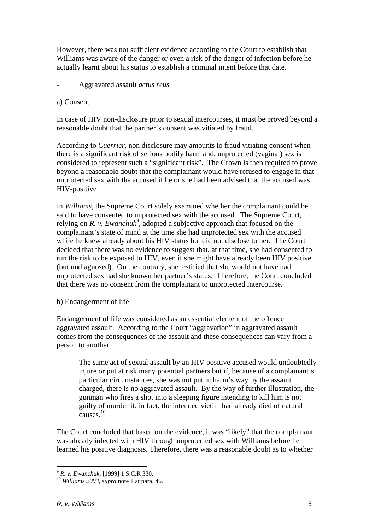However, there was not sufficient evidence according to the Court to establish that Williams was aware of the danger or even a risk of the danger of infection before he actually learnt about his status to establish a criminal intent before that date.

- Aggravated assault *actus reus* 

### a) Consent

In case of HIV non-disclosure prior to sexual intercourses, it must be proved beyond a reasonable doubt that the partner's consent was vitiated by fraud.

According to *Cuerrier*, non disclosure may amounts to fraud vitiating consent when there is a significant risk of serious bodily harm and, unprotected (vaginal) sex is considered to represent such a "significant risk". The Crown is then required to prove beyond a reasonable doubt that the complainant would have refused to engage in that unprotected sex with the accused if he or she had been advised that the accused was HIV-positive

In *Williams*, the Supreme Court solely examined whether the complainant could be said to have consented to unprotected sex with the accused. The Supreme Court, relying on *R. v. Ewanchuk<sup>9</sup>* , adopted a subjective approach that focused on the complainant's state of mind at the time she had unprotected sex with the accused while he knew already about his HIV status but did not disclose to her. The Court decided that there was no evidence to suggest that, at that time, she had consented to run the risk to be exposed to HIV, even if she might have already been HIV positive (but undiagnosed). On the contrary, she testified that she would not have had unprotected sex had she known her partner's status. Therefore, the Court concluded that there was no consent from the complainant to unprotected intercourse.

### b) Endangerment of life

Endangerment of life was considered as an essential element of the offence aggravated assault. According to the Court "aggravation" in aggravated assault comes from the consequences of the assault and these consequences can vary from a person to another.

The same act of sexual assault by an HIV positive accused would undoubtedly injure or put at risk many potential partners but if, because of a complainant's particular circumstances, she was not put in harm's way by the assault charged, there is no aggravated assault. By the way of further illustration, the gunman who fires a shot into a sleeping figure intending to kill him is not guilty of murder if, in fact, the intended victim had already died of natural  $\frac{1}{2}$ causes.<sup>10</sup>

The Court concluded that based on the evidence, it was "likely" that the complainant was already infected with HIV through unprotected sex with Williams before he learned his positive diagnosis. Therefore, there was a reasonable doubt as to whether

<sup>&</sup>lt;u>.</u>

<sup>9</sup> *R. v. Ewanchuk,* [1999] 1 S.C.R 330. 10 *Williams 2003*, *supra* note 1 at para. 46.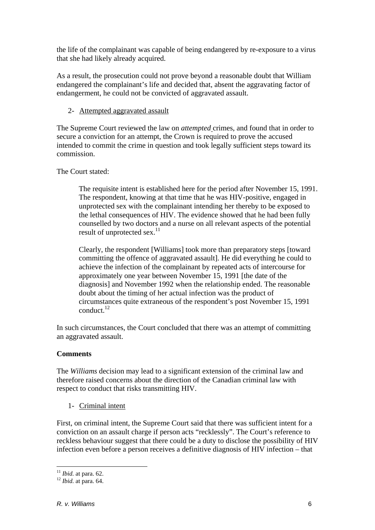the life of the complainant was capable of being endangered by re-exposure to a virus that she had likely already acquired.

As a result, the prosecution could not prove beyond a reasonable doubt that William endangered the complainant's life and decided that, absent the aggravating factor of endangerment, he could not be convicted of aggravated assault.

# 2- Attempted aggravated assault

The Supreme Court reviewed the law on *attempted* crimes, and found that in order to secure a conviction for an attempt, the Crown is required to prove the accused intended to commit the crime in question and took legally sufficient steps toward its commission.

# The Court stated:

The requisite intent is established here for the period after November 15, 1991. The respondent, knowing at that time that he was HIV-positive, engaged in unprotected sex with the complainant intending her thereby to be exposed to the lethal consequences of HIV. The evidence showed that he had been fully counselled by two doctors and a nurse on all relevant aspects of the potential result of unprotected sex.<sup>11</sup>

Clearly, the respondent [Williams] took more than preparatory steps [toward committing the offence of aggravated assault]. He did everything he could to achieve the infection of the complainant by repeated acts of intercourse for approximately one year between November 15, 1991 [the date of the diagnosis] and November 1992 when the relationship ended. The reasonable doubt about the timing of her actual infection was the product of circumstances quite extraneous of the respondent's post November 15, 1991  $\text{conduct}$ <sup>12</sup>

In such circumstances, the Court concluded that there was an attempt of committing an aggravated assault.

### **Comments**

The *Williams* decision may lead to a significant extension of the criminal law and therefore raised concerns about the direction of the Canadian criminal law with respect to conduct that risks transmitting HIV.

1- Criminal intent

First, on criminal intent, the Supreme Court said that there was sufficient intent for a conviction on an assault charge if person acts "recklessly". The Court's reference to reckless behaviour suggest that there could be a duty to disclose the possibility of HIV infection even before a person receives a definitive diagnosis of HIV infection – that

 $11$  *Ibid.* at para. 62.

<sup>&</sup>lt;sup>12</sup> *Ibid.* at para. 64.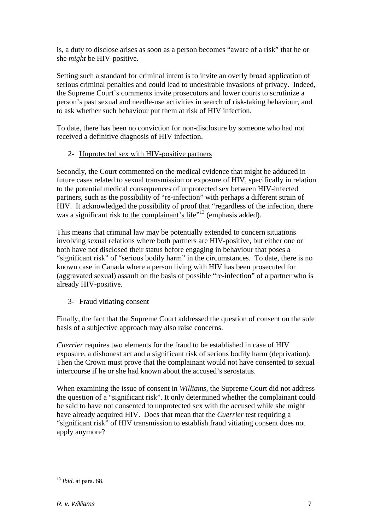is, a duty to disclose arises as soon as a person becomes "aware of a risk" that he or she *might* be HIV-positive.

Setting such a standard for criminal intent is to invite an overly broad application of serious criminal penalties and could lead to undesirable invasions of privacy. Indeed, the Supreme Court's comments invite prosecutors and lower courts to scrutinize a person's past sexual and needle-use activities in search of risk-taking behaviour, and to ask whether such behaviour put them at risk of HIV infection.

To date, there has been no conviction for non-disclosure by someone who had not received a definitive diagnosis of HIV infection.

# 2- Unprotected sex with HIV-positive partners

Secondly, the Court commented on the medical evidence that might be adduced in future cases related to sexual transmission or exposure of HIV, specifically in relation to the potential medical consequences of unprotected sex between HIV-infected partners, such as the possibility of "re-infection" with perhaps a different strain of HIV. It acknowledged the possibility of proof that "regardless of the infection, there was a significant risk to the complainant's life"<sup>13</sup> (emphasis added).

This means that criminal law may be potentially extended to concern situations involving sexual relations where both partners are HIV-positive, but either one or both have not disclosed their status before engaging in behaviour that poses a "significant risk" of "serious bodily harm" in the circumstances. To date, there is no known case in Canada where a person living with HIV has been prosecuted for (aggravated sexual) assault on the basis of possible "re-infection" of a partner who is already HIV-positive.

# 3- Fraud vitiating consent

Finally, the fact that the Supreme Court addressed the question of consent on the sole basis of a subjective approach may also raise concerns.

*Cuerrier* requires two elements for the fraud to be established in case of HIV exposure, a dishonest act and a significant risk of serious bodily harm (deprivation). Then the Crown must prove that the complainant would not have consented to sexual intercourse if he or she had known about the accused's serostatus.

When examining the issue of consent in *Williams*, the Supreme Court did not address the question of a "significant risk". It only determined whether the complainant could be said to have not consented to unprotected sex with the accused while she might have already acquired HIV. Does that mean that the *Cuerrier* test requiring a "significant risk" of HIV transmission to establish fraud vitiating consent does not apply anymore?

<sup>1</sup> <sup>13</sup> *Ibid*. at para. 68.